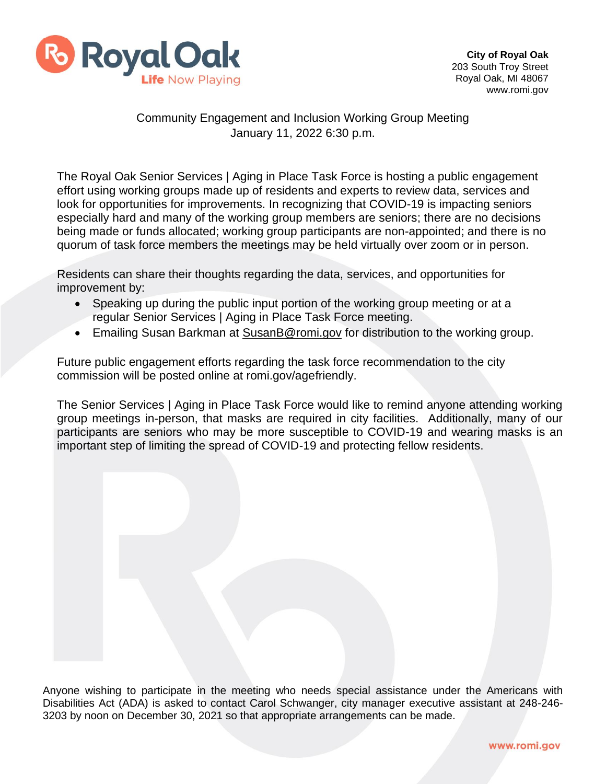

## Community Engagement and Inclusion Working Group Meeting January 11, 2022 6:30 p.m.

The Royal Oak Senior Services | Aging in Place Task Force is hosting a public engagement effort using working groups made up of residents and experts to review data, services and look for opportunities for improvements. In recognizing that COVID-19 is impacting seniors especially hard and many of the working group members are seniors; there are no decisions being made or funds allocated; working group participants are non-appointed; and there is no quorum of task force members the meetings may be held virtually over zoom or in person.

Residents can share their thoughts regarding the data, services, and opportunities for improvement by:

- Speaking up during the public input portion of the working group meeting or at a regular Senior Services | Aging in Place Task Force meeting.
- Emailing Susan Barkman at [SusanB@romi.gov](mailto:SusanB@romi.gov) for distribution to the working group.

Future public engagement efforts regarding the task force recommendation to the city commission will be posted online at romi.gov/agefriendly.

The Senior Services | Aging in Place Task Force would like to remind anyone attending working group meetings in-person, that masks are required in city facilities. Additionally, many of our participants are seniors who may be more susceptible to COVID-19 and wearing masks is an important step of limiting the spread of COVID-19 and protecting fellow residents.

Anyone wishing to participate in the meeting who needs special assistance under the Americans with Disabilities Act (ADA) is asked to contact Carol Schwanger, city manager executive assistant at 248-246- 3203 by noon on December 30, 2021 so that appropriate arrangements can be made.